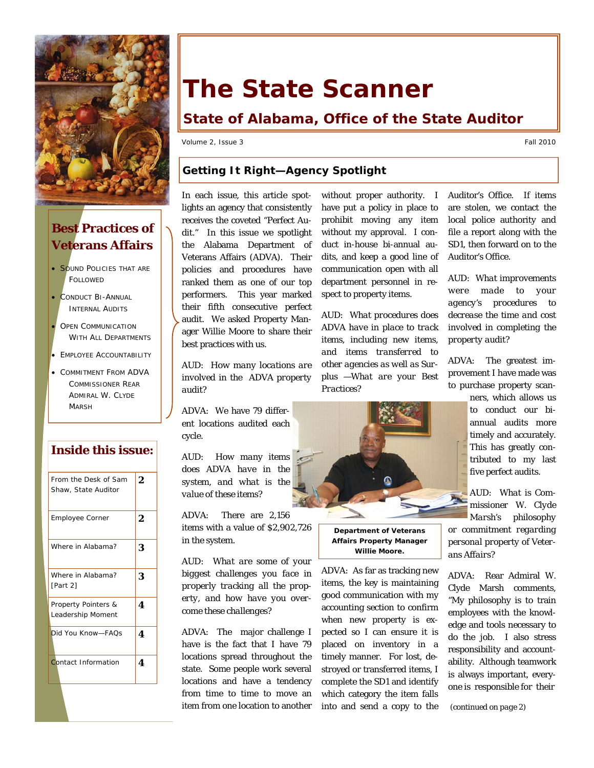

# **Best Practices of Veterans Affairs**

- SOUND POLICIES THAT ARE FOLLOWED
- CONDUCT BI-ANNUAL INTERNAL AUDITS
- OPEN COMMUNICATION WITH ALL DEPARTMENTS
- EMPLOYEE ACCOUNTABILITY
- COMMITMENT FROM ADVA COMMISSIONER REAR ADMIRAL W. CLYDE MARSH

### **Inside this issue:**

| From the Desk of Sam<br>Shaw, State Auditor | 2 |
|---------------------------------------------|---|
| Employee Corner                             | 2 |
| Where in Alabama?                           | 3 |
| Where in Alabama?<br>[Part 2]               | 3 |
| Property Pointers &<br>Leadership Moment    | 4 |
| Did You Know-FAQs                           | 4 |
| Contact Information                         | 4 |

# **The State Scanner**

# **State of Alabama, Office of the State Auditor**

Volume 2, Issue 3 Fall 2010

## **Getting It Right—Agency Spotlight**

In each issue, this article spotlights an agency that consistently receives the coveted "Perfect Audit." In this issue we spotlight the Alabama Department of Veterans Affairs (ADVA). Their policies and procedures have ranked them as one of our top performers. This year marked their fifth consecutive perfect audit. We asked Property Manager Willie Moore to share their best practices with us.

*AUD: How many locations are involved in the ADVA property audit?* 

ADVA: We have 79 different locations audited each cycle.

*AUD: How many items does ADVA have in the system, and what is the value of these items?* 

ADVA: There are 2,156 items with a value of \$2,902,726 in the system.

*AUD: What are some of your biggest challenges you face in properly tracking all the property, and how have you overcome these challenges?* 

ADVA: The major challenge I have is the fact that I have 79 locations spread throughout the state. Some people work several locations and have a tendency from time to time to move an item from one location to another

without proper authority. I have put a policy in place to prohibit moving any item without my approval. I conduct in-house bi-annual audits, and keep a good line of communication open with all department personnel in respect to property items.

*AUD: What procedures does ADVA have in place to track items, including new items, and items transferred to other agencies as well as Surplus —What are your Best Practices?* 



**Department of Veterans Affairs Property Manager Willie Moore.** 

ADVA: As far as tracking new items, the key is maintaining good communication with my accounting section to confirm when new property is expected so I can ensure it is placed on inventory in a timely manner. For lost, destroyed or transferred items, I complete the SD1 and identify which category the item falls into and send a copy to the Auditor's Office. If items are stolen, we contact the local police authority and file a report along with the SD1, then forward on to the Auditor's Office.

*AUD: What improvements were made to your agency's procedures to decrease the time and cost involved in completing the property audit?* 

ADVA: The greatest improvement I have made was to purchase property scanners, which allows us

to conduct our biannual audits more timely and accurately. This has greatly contributed to my last five perfect audits.

*AUD: What is Commissioner W. Clyde Marsh's philosophy or commitment regarding personal property of Veterans Affairs?* 

ADVA: Rear Admiral W. Clyde Marsh comments, "My philosophy is to train employees with the knowledge and tools necessary to do the job. I also stress responsibility and accountability. Although teamwork is always important, everyone is responsible for their

*(continued on page 2)*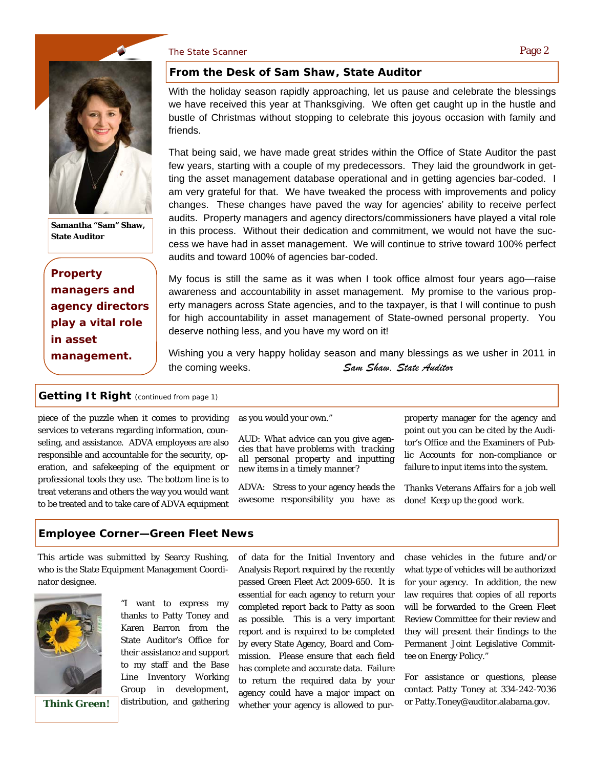#### The State Scanner **Page 2** and the State Scanner Page 2



**Samantha "Sam" Shaw, State Auditor** 

*Property managers and agency directors play a vital role in asset management.* 

#### **From the Desk of Sam Shaw, State Auditor**

With the holiday season rapidly approaching, let us pause and celebrate the blessings we have received this year at Thanksgiving. We often get caught up in the hustle and bustle of Christmas without stopping to celebrate this joyous occasion with family and friends.

That being said, we have made great strides within the Office of State Auditor the past few years, starting with a couple of my predecessors. They laid the groundwork in getting the asset management database operational and in getting agencies bar-coded. I am very grateful for that. We have tweaked the process with improvements and policy changes. These changes have paved the way for agencies' ability to receive perfect audits. Property managers and agency directors/commissioners have played a vital role in this process. Without their dedication and commitment, we would not have the success we have had in asset management. We will continue to strive toward 100% perfect audits and toward 100% of agencies bar-coded.

My focus is still the same as it was when I took office almost four years ago—raise awareness and accountability in asset management. My promise to the various property managers across State agencies, and to the taxpayer, is that I will continue to push for high accountability in asset management of State-owned personal property. You deserve nothing less, and you have my word on it!

Wishing you a very happy holiday season and many blessings as we usher in 2011 in the coming weeks. *Sam Shaw, State Auditor*

#### **Getting It Right** *(continued from page 1)*

piece of the puzzle when it comes to providing services to veterans regarding information, counseling, and assistance. ADVA employees are also responsible and accountable for the security, operation, and safekeeping of the equipment or professional tools they use. The bottom line is to treat veterans and others the way you would want to be treated and to take care of ADVA equipment

as you would your own."

*AUD: What advice can you give agencies that have problems with tracking all personal property and inputting new items in a timely manner?* 

ADVA: Stress to your agency heads the awesome responsibility you have as property manager for the agency and point out you can be cited by the Auditor's Office and the Examiners of Public Accounts for non-compliance or failure to input items into the system.

*Thanks Veterans Affairs for a job well done! Keep up the good work.* 

#### **Employee Corner—Green Fleet News**

This article was submitted by Searcy Rushing, who is the State Equipment Management Coordinator designee.



**Think Green!** 

"I want to express my thanks to Patty Toney and Karen Barron from the State Auditor's Office for their assistance and support to my staff and the Base Line Inventory Working Group in development, distribution, and gathering

of data for the Initial Inventory and Analysis Report required by the recently passed Green Fleet Act 2009-650. It is essential for each agency to return your completed report back to Patty as soon as possible. This is a very important report and is required to be completed by every State Agency, Board and Commission. Please ensure that each field has complete and accurate data. Failure to return the required data by your agency could have a major impact on whether your agency is allowed to purchase vehicles in the future and/or what type of vehicles will be authorized for your agency. In addition, the new law requires that copies of all reports will be forwarded to the Green Fleet Review Committee for their review and they will present their findings to the Permanent Joint Legislative Committee on Energy Policy."

For assistance or questions, please contact Patty Toney at 334-242-7036 or Patty.Toney@auditor.alabama.gov.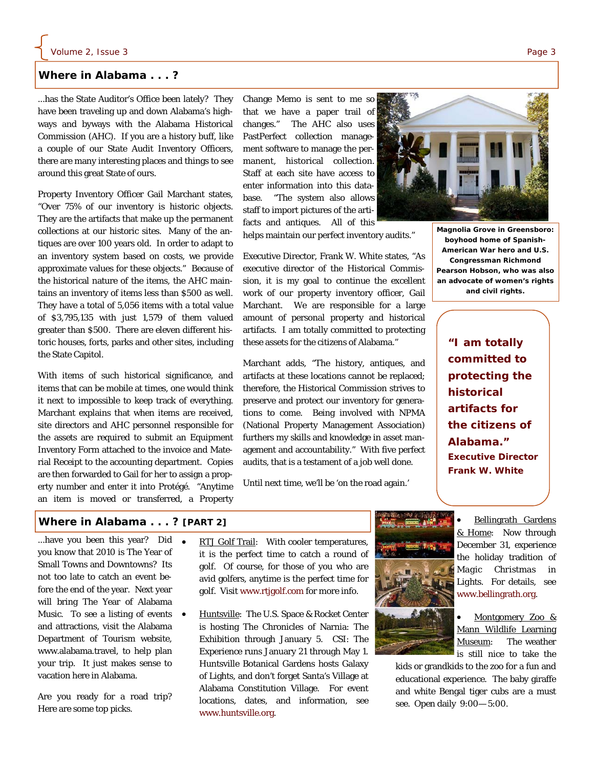#### **Where in Alabama . . . ?**

...has the State Auditor's Office been lately? They have been traveling up and down Alabama's highways and byways with the Alabama Historical Commission (AHC). If you are a history buff, like a couple of our State Audit Inventory Officers, there are many interesting places and things to see around this great State of ours.

Property Inventory Officer Gail Marchant states, "Over 75% of our inventory is historic objects. They are the artifacts that make up the permanent collections at our historic sites. Many of the antiques are over 100 years old. In order to adapt to an inventory system based on costs, we provide approximate values for these objects." Because of the historical nature of the items, the AHC maintains an inventory of items less than \$500 as well. They have a total of 5,056 items with a total value of \$3,795,135 with just 1,579 of them valued greater than \$500. There are eleven different historic houses, forts, parks and other sites, including the State Capitol.

With items of such historical significance, and items that can be mobile at times, one would think it next to impossible to keep track of everything. Marchant explains that when items are received, site directors and AHC personnel responsible for the assets are required to submit an Equipment Inventory Form attached to the invoice and Material Receipt to the accounting department. Copies are then forwarded to Gail for her to assign a property number and enter it into Protégé. "Anytime an item is moved or transferred, a Property

Change Memo is sent to me so that we have a paper trail of changes." The AHC also uses PastPerfect collection management software to manage the permanent, historical collection. Staff at each site have access to enter information into this database. "The system also allows staff to import pictures of the artifacts and antiques. All of this

helps maintain our perfect inventory audits."

Executive Director, Frank W. White states, "As executive director of the Historical Commission, it is my goal to continue the excellent work of our property inventory officer, Gail Marchant. We are responsible for a large amount of personal property and historical artifacts. I am totally committed to protecting these assets for the citizens of Alabama."

Marchant adds, "The history, antiques, and artifacts at these locations cannot be replaced; therefore, the Historical Commission strives to preserve and protect our inventory for generations to come. Being involved with NPMA (National Property Management Association) furthers my skills and knowledge in asset management and accountability." With five perfect audits, that is a testament of a job well done.

Until next time, we'll be 'on the road again.'



**boyhood home of Spanish-American War hero and U.S. Congressman Richmond Pearson Hobson, who was also an advocate of women's rights and civil rights.** 

> *"I am totally committed to protecting the historical artifacts for the citizens of Alabama." Executive Director Frank W. White*

#### **Where in Alabama . . . ? [PART 2]**

...have you been this year? Did you know that 2010 is The Year of Small Towns and Downtowns? Its not too late to catch an event before the end of the year. Next year will bring The Year of Alabama Music. To see a listing of events and attractions, visit the Alabama Department of Tourism website, www.alabama.travel, to help plan your trip. It just makes sense to vacation here in Alabama.

Are you ready for a road trip? Here are some top picks.

- RTJ Golf Trail: With cooler temperatures, it is the perfect time to catch a round of golf. Of course, for those of you who are avid golfers, anytime is the perfect time for golf. Visit www.rtjgolf.com for more info.
- Huntsville: The U.S. Space & Rocket Center is hosting The Chronicles of Narnia: The Exhibition through January 5. CSI: The Experience runs January 21 through May 1. Huntsville Botanical Gardens hosts Galaxy of Lights, and don't forget Santa's Village at Alabama Constitution Village. For event locations, dates, and information, see www.huntsville.org.



 Bellingrath Gardens & Home: Now through December 31, experience the holiday tradition of *Magic Christmas in Lights.* For details, see www.bellingrath.org.

 Montgomery Zoo & Mann Wildlife Learning Museum: The weather is still nice to take the

kids or grandkids to the zoo for a fun and educational experience. The baby giraffe and white Bengal tiger cubs are a must see. Open daily 9:00— 5:00.